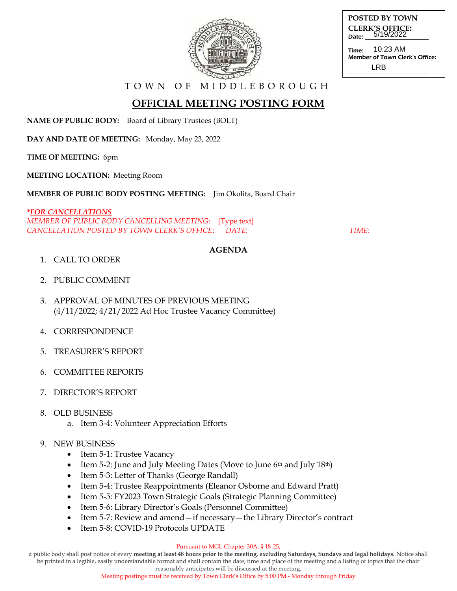

**POSTED BY TOWN CLERK'S OFFICE:** Date: 5/19/2022

Time: Member of Town Clerk's Office: 10:23 AM LRB

T O W N O F M I D D L E B O R O U G H

# **OFFICIAL MEETING POSTING FORM**

**NAME OF PUBLIC BODY:** Board of Library Trustees (BOLT)

**DAY AND DATE OF MEETING:** Monday, May 23, 2022

**TIME OF MEETING:** 6pm

**MEETING LOCATION:** Meeting Room

**MEMBER OF PUBLIC BODY POSTING MEETING:** Jim Okolita, Board Chair

**\****FOR CANCELLATIONS MEMBER OF PUBLIC BODY CANCELLING MEETING*: [Type text] *CANCELLATION POSTED BY TOWN CLERK'S OFFICE*: *DATE*: *TIME*:

### **AGENDA**

- 1. CALL TO ORDER
- 2. PUBLIC COMMENT
- 3. APPROVAL OF MINUTES OF PREVIOUS MEETING (4/11/2022; 4/21/2022 Ad Hoc Trustee Vacancy Committee)
- 4. CORRESPONDENCE
- 5. TREASURER'S REPORT
- 6. COMMITTEE REPORTS
- 7. DIRECTOR'S REPORT
- 8. OLD BUSINESS
	- a. Item 3-4: Volunteer Appreciation Efforts

### 9. NEW BUSINESS

- Item 5-1: Trustee Vacancy
- Item 5-2: June and July Meeting Dates (Move to June 6th and July 18th)
- Item 5-3: Letter of Thanks (George Randall)
- Item 5-4: Trustee Reappointments (Eleanor Osborne and Edward Pratt)
- Item 5-5: FY2023 Town Strategic Goals (Strategic Planning Committee)
- Item 5-6: Library Director's Goals (Personnel Committee)
- Item 5-7: Review and amend—if necessary—the Library Director's contract
- Item 5-8: COVID-19 Protocols UPDATE

#### Pursuant to MGL Chapter 30A, § 18-25,

a public body shall post notice of every **meeting at least 48 hours prior to the meeting, excluding Saturdays, Sundays and legal holidays.** Notice shall be printed in a legible, easily understandable format and shall contain the date, time and place of the meeting and a listing of topics that the chair

> reasonably anticipates will be discussed at the meeting. Meeting postings must be received by Town Clerk's Office by 5:00 PM - Monday through Friday